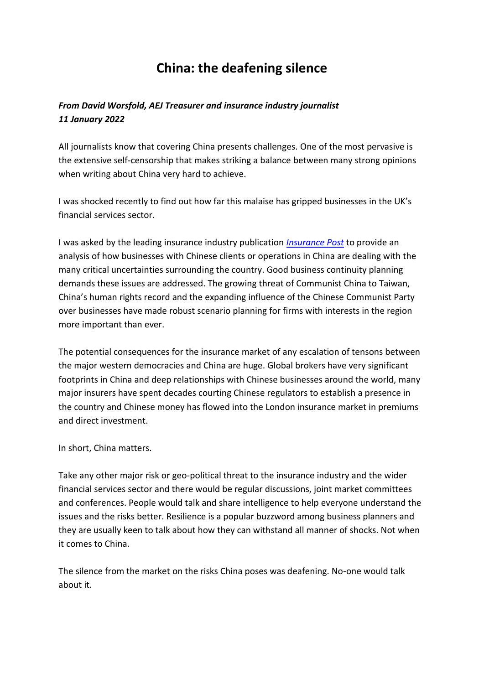## **China: the deafening silence**

## *From David Worsfold, AEJ Treasurer and insurance industry journalist 11 January 2022*

All journalists know that covering China presents challenges. One of the most pervasive is the extensive self-censorship that makes striking a balance between many strong opinions when writing about China very hard to achieve.

I was shocked recently to find out how far this malaise has gripped businesses in the UK's financial services sector.

I was asked by the leading insurance industry publication *[Insurance Post](https://www.postonline.co.uk/)* to provide an analysis of how businesses with Chinese clients or operations in China are dealing with the many critical uncertainties surrounding the country. Good business continuity planning demands these issues are addressed. The growing threat of Communist China to Taiwan, China's human rights record and the expanding influence of the Chinese Communist Party over businesses have made robust scenario planning for firms with interests in the region more important than ever.

The potential consequences for the insurance market of any escalation of tensons between the major western democracies and China are huge. Global brokers have very significant footprints in China and deep relationships with Chinese businesses around the world, many major insurers have spent decades courting Chinese regulators to establish a presence in the country and Chinese money has flowed into the London insurance market in premiums and direct investment.

In short, China matters.

Take any other major risk or geo-political threat to the insurance industry and the wider financial services sector and there would be regular discussions, joint market committees and conferences. People would talk and share intelligence to help everyone understand the issues and the risks better. Resilience is a popular buzzword among business planners and they are usually keen to talk about how they can withstand all manner of shocks. Not when it comes to China.

The silence from the market on the risks China poses was deafening. No-one would talk about it.